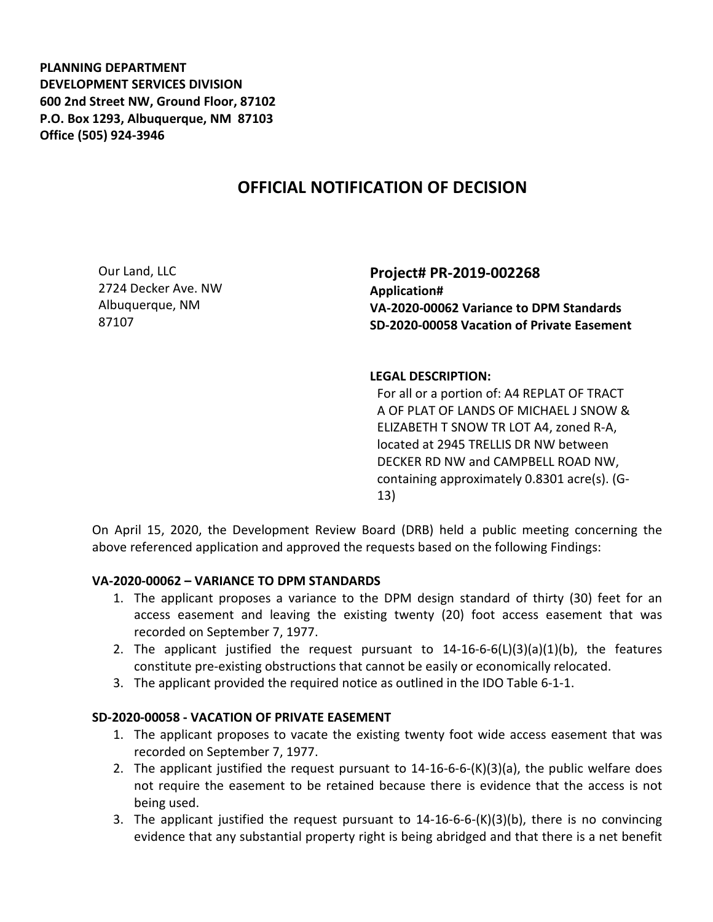**PLANNING DEPARTMENT DEVELOPMENT SERVICES DIVISION 600 2nd Street NW, Ground Floor, 87102 P.O. Box 1293, Albuquerque, NM 87103 Office (505) 924-3946** 

## **OFFICIAL NOTIFICATION OF DECISION**

Our Land, LLC 2724 Decker Ave. NW Albuquerque, NM 87107

**Project# PR-2019-002268 Application# VA-2020-00062 Variance to DPM Standards SD-2020-00058 Vacation of Private Easement**

## **LEGAL DESCRIPTION:**

For all or a portion of: A4 REPLAT OF TRACT A OF PLAT OF LANDS OF MICHAEL J SNOW & ELIZABETH T SNOW TR LOT A4, zoned R-A, located at 2945 TRELLIS DR NW between DECKER RD NW and CAMPBELL ROAD NW, containing approximately 0.8301 acre(s). (G-13)

On April 15, 2020, the Development Review Board (DRB) held a public meeting concerning the above referenced application and approved the requests based on the following Findings:

## **VA-2020-00062 – VARIANCE TO DPM STANDARDS**

- 1. The applicant proposes a variance to the DPM design standard of thirty (30) feet for an access easement and leaving the existing twenty (20) foot access easement that was recorded on September 7, 1977.
- 2. The applicant justified the request pursuant to  $14-16-6-6(L)(3)(a)(1)(b)$ , the features constitute pre-existing obstructions that cannot be easily or economically relocated.
- 3. The applicant provided the required notice as outlined in the IDO Table 6-1-1.

## **SD-2020-00058 - VACATION OF PRIVATE EASEMENT**

- 1. The applicant proposes to vacate the existing twenty foot wide access easement that was recorded on September 7, 1977.
- 2. The applicant justified the request pursuant to 14-16-6-6-(K)(3)(a), the public welfare does not require the easement to be retained because there is evidence that the access is not being used.
- 3. The applicant justified the request pursuant to 14-16-6-6-(K)(3)(b), there is no convincing evidence that any substantial property right is being abridged and that there is a net benefit